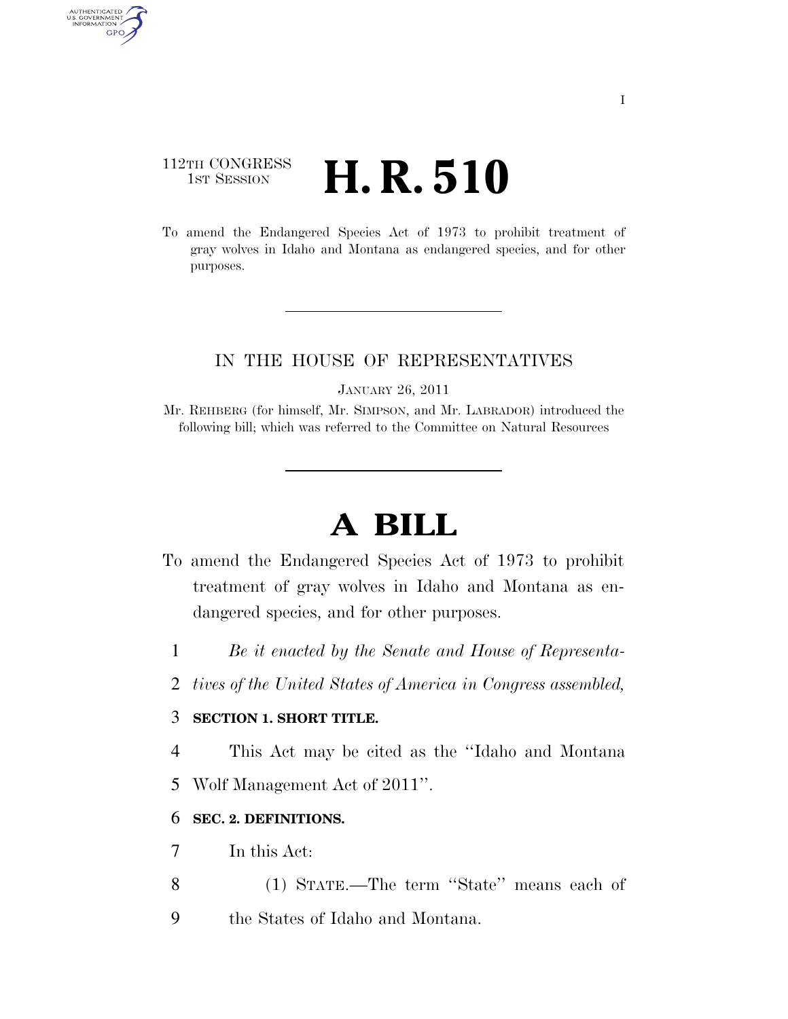### 112TH CONGRESS **1st Session H. R. 510**

AUTHENTICATED<br>U.S. GOVERNMENT<br>INFORMATION GPO

> To amend the Endangered Species Act of 1973 to prohibit treatment of gray wolves in Idaho and Montana as endangered species, and for other purposes.

#### IN THE HOUSE OF REPRESENTATIVES

JANUARY 26, 2011

Mr. REHBERG (for himself, Mr. SIMPSON, and Mr. LABRADOR) introduced the following bill; which was referred to the Committee on Natural Resources

# **A BILL**

- To amend the Endangered Species Act of 1973 to prohibit treatment of gray wolves in Idaho and Montana as endangered species, and for other purposes.
	- 1 *Be it enacted by the Senate and House of Representa-*
	- 2 *tives of the United States of America in Congress assembled,*

#### 3 **SECTION 1. SHORT TITLE.**

4 This Act may be cited as the ''Idaho and Montana

5 Wolf Management Act of 2011''.

#### 6 **SEC. 2. DEFINITIONS.**

- 7 In this Act:
- 8 (1) STATE.—The term ''State'' means each of
- 9 the States of Idaho and Montana.